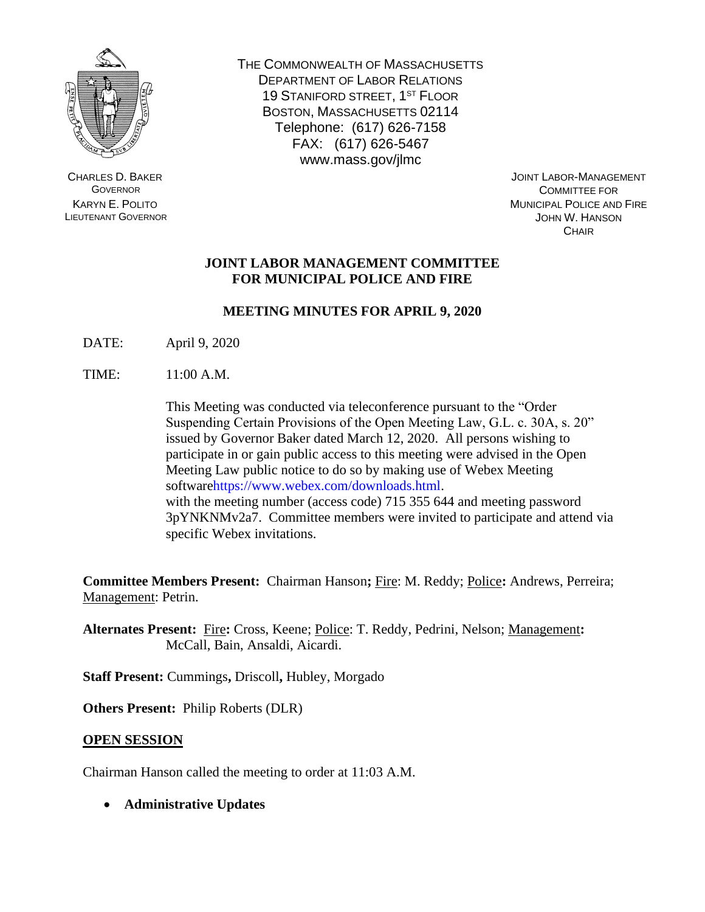

CHARLES D. BAKER **GOVERNOR** KARYN E. POLITO LIEUTENANT GOVERNOR THE COMMONWEALTH OF MASSACHUSETTS DEPARTMENT OF LABOR RELATIONS 19 STANIFORD STREET, 1ST FLOOR BOSTON, MASSACHUSETTS 02114 Telephone: (617) 626-7158 FAX: (617) 626-5467 www.mass.gov/jlmc

JOINT LABOR-MANAGEMENT COMMITTEE FOR MUNICIPAL POLICE AND FIRE JOHN W. HANSON **CHAIR** 

## **JOINT LABOR MANAGEMENT COMMITTEE FOR MUNICIPAL POLICE AND FIRE**

# **MEETING MINUTES FOR APRIL 9, 2020**

DATE: April 9, 2020

TIME: 11:00 A.M.

This Meeting was conducted via teleconference pursuant to the "Order Suspending Certain Provisions of the Open Meeting Law, G.L. c. 30A, s. 20" issued by Governor Baker dated March 12, 2020. All persons wishing to participate in or gain public access to this meeting were advised in the Open Meeting Law public notice to do so by making use of Webex Meeting softwarehttps://www.webex.com/downloads.html. with the meeting number (access code) 715 355 644 and meeting password 3pYNKNMv2a7. Committee members were invited to participate and attend via specific Webex invitations.

**Committee Members Present:** Chairman Hanson**;** Fire: M. Reddy; Police**:** Andrews, Perreira; Management: Petrin.

**Alternates Present:** Fire**:** Cross, Keene; Police: T. Reddy, Pedrini, Nelson; Management**:**  McCall, Bain, Ansaldi, Aicardi.

**Staff Present:** Cummings**,** Driscoll**,** Hubley, Morgado

**Others Present:** Philip Roberts (DLR)

## **OPEN SESSION**

Chairman Hanson called the meeting to order at 11:03 A.M.

• **Administrative Updates**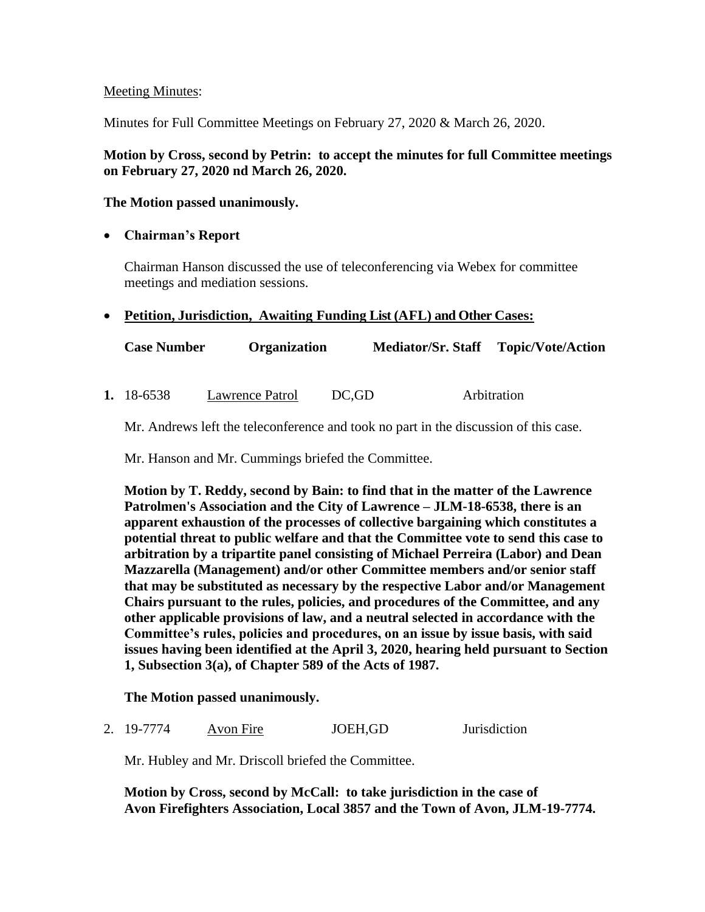## Meeting Minutes:

Minutes for Full Committee Meetings on February 27, 2020 & March 26, 2020.

## **Motion by Cross, second by Petrin: to accept the minutes for full Committee meetings on February 27, 2020 nd March 26, 2020.**

#### **The Motion passed unanimously.**

## • **Chairman's Report**

Chairman Hanson discussed the use of teleconferencing via Webex for committee meetings and mediation sessions.

#### • **Petition, Jurisdiction, Awaiting Funding List (AFL) and Other Cases:**

| <b>Case Number</b> | <b>Organization</b> | Mediator/Sr. Staff Topic/Vote/Action |  |
|--------------------|---------------------|--------------------------------------|--|
|--------------------|---------------------|--------------------------------------|--|

**1.** 18-6538 Lawrence Patrol DC,GD Arbitration

Mr. Andrews left the teleconference and took no part in the discussion of this case.

Mr. Hanson and Mr. Cummings briefed the Committee.

**Motion by T. Reddy, second by Bain: to find that in the matter of the Lawrence Patrolmen's Association and the City of Lawrence – JLM-18-6538, there is an apparent exhaustion of the processes of collective bargaining which constitutes a potential threat to public welfare and that the Committee vote to send this case to arbitration by a tripartite panel consisting of Michael Perreira (Labor) and Dean Mazzarella (Management) and/or other Committee members and/or senior staff that may be substituted as necessary by the respective Labor and/or Management Chairs pursuant to the rules, policies, and procedures of the Committee, and any other applicable provisions of law, and a neutral selected in accordance with the Committee's rules, policies and procedures, on an issue by issue basis, with said issues having been identified at the April 3, 2020, hearing held pursuant to Section 1, Subsection 3(a), of Chapter 589 of the Acts of 1987.** 

**The Motion passed unanimously.**

2. 19-7774 Avon Fire JOEH,GD Jurisdiction

Mr. Hubley and Mr. Driscoll briefed the Committee.

**Motion by Cross, second by McCall: to take jurisdiction in the case of Avon Firefighters Association, Local 3857 and the Town of Avon, JLM-19-7774.**